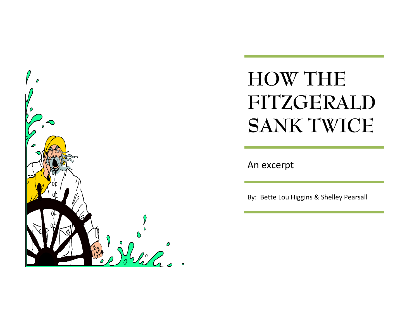

## **HOW THE FITZGERALD SANK TWICE**

An excerpt

By: Bette Lou Higgins & Shelley Pearsall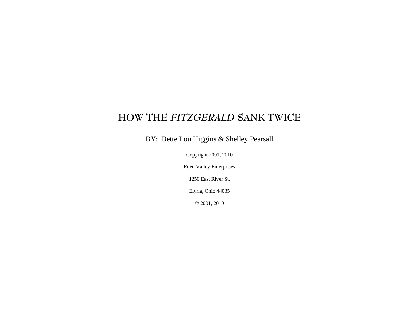## **HOW THE** *FITZGERALD* **SANK TWICE**

BY: Bette Lou Higgins & Shelley Pearsall

Copyright 2001, 2010

Eden Valley Enterprises

1250 East River St.

Elyria, Ohio 44035

© 2001, 2010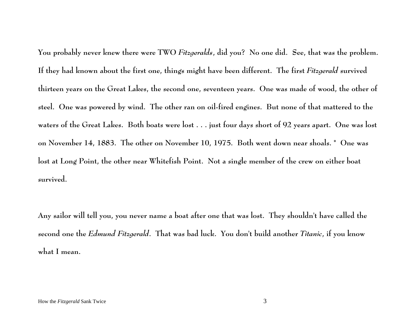**You probably never knew there were TWO** *Fitzgeralds***, did you? No one did. See, that was the problem. If they had known about the first one, things might have been different. The first** *Fitzgerald* **survived thirteen years on the Great Lakes, the second one, seventeen years. One was made of wood, the other of steel. One was powered by wind. The other ran on oil-fired engines. But none of that mattered to the waters of the Great Lakes. Both boats were lost . . . just four days short of 92 years apart. One was lost on November 14, 1883. The other on November 10, 1975. Both went down near shoals. \* One was lost at Long Point, the other near Whitefish Point. Not a single member of the crew on either boat survived.** 

**Any sailor will tell you, you never name a boat after one that was lost. They shouldn't have called the second one the** *Edmund Fitzgerald***. That was bad luck. You don't build another** *Titanic***, if you know what I mean.**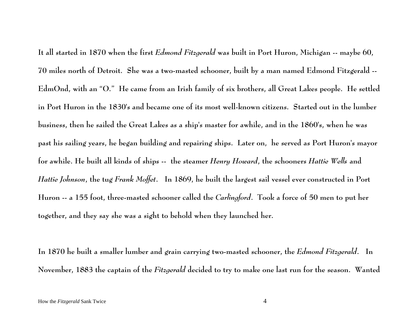**It all started in 1870 when the first** *Edmond Fitzgerald* **was built in Port Huron, Michigan -- maybe 60, 70 miles north of Detroit. She was a two-masted schooner, built by a man named Edmond Fitzgerald -- EdmOnd, with an "O." He came from an Irish family of six brothers, all Great Lakes people. He settled in Port Huron in the 1830's and became one of its most well-known citizens. Started out in the lumber business, then he sailed the Great Lakes as a ship's master for awhile, and in the 1860's, when he was past his sailing years, he began building and repairing ships. Later on, he served as Port Huron's mayor for awhile. He built all kinds of ships -- the steamer** *Henry Howard***, the schooners** *Hattie Wells* **and**  *Hattie Johnson***, the tug** *Frank Moffet***. In 1869, he built the largest sail vessel ever constructed in Port Huron -- a 155 foot, three-masted schooner called the** *Carlingford***. Took a force of 50 men to put her together, and they say she was a sight to behold when they launched her.** 

**In 1870 he built a smaller lumber and grain carrying two-masted schooner, the** *Edmond Fitzgerald***. In November, 1883 the captain of the** *Fitzgerald* **decided to try to make one last run for the season. Wanted**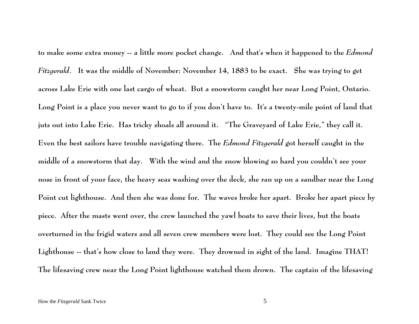**to make some extra money -- a little more pocket change. And that's when it happened to the** *Edmond Fitzgerald***. It was the middle of November: November 14, 1883 to be exact. She was trying to get across Lake Erie with one last cargo of wheat. But a snowstorm caught her near Long Point, Ontario. Long Point is a place you never want to go to if you don't have to. It's a twenty-mile point of land that juts out into Lake Erie. Has tricky shoals all around it. "The Graveyard of Lake Erie," they call it. Even the best sailors have trouble navigating there. The** *Edmond Fitzgerald* **got herself caught in the middle of a snowstorm that day. With the wind and the snow blowing so hard you couldn't see your nose in front of your face, the heavy seas washing over the deck, she ran up on a sandbar near the Long Point cut lighthouse. And then she was done for. The waves broke her apart. Broke her apart piece by <sup>p</sup>iece. After the masts went over, the crew launched the yawl boats to save their lives, but the boats overturned in the frigid waters and all seven crew members were lost. They could see the Long Point Lighthouse -- that's how close to land they were. They drowned in sight of the land. Imagine THAT! The lifesaving crew near the Long Point lighthouse watched them drown. The captain of the lifesaving**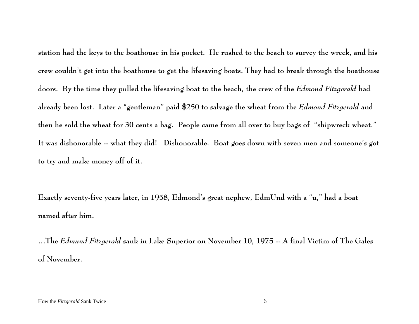**station had the keys to the boathouse in his pocket. He rushed to the beach to survey the wreck, and his crew couldn't get into the boathouse to get the lifesaving boats. They had to break through the boathouse doors. By the time they pulled the lifesaving boat to the beach, the crew of the** *Edmond Fitzgerald* **had already been lost. Later a "gentleman" paid \$250 to salvage the wheat from the** *Edmond Fitzgerald* **and then he sold the wheat for 30 cents a bag. People came from all over to buy bags of "shipwreck wheat." It was dishonorable -- what they did! Dishonorable. Boat goes down with seven men and someone's got to try and make money off of it.** 

**Exactly seventy-five years later, in 1958, Edmond's great nephew, EdmUnd with a "u," had a boat named after him.** 

**…The** *Edmund Fitzgerald* **sank in Lake Superior on November 10, 1975 -- A final Victim of The Gales of November.**